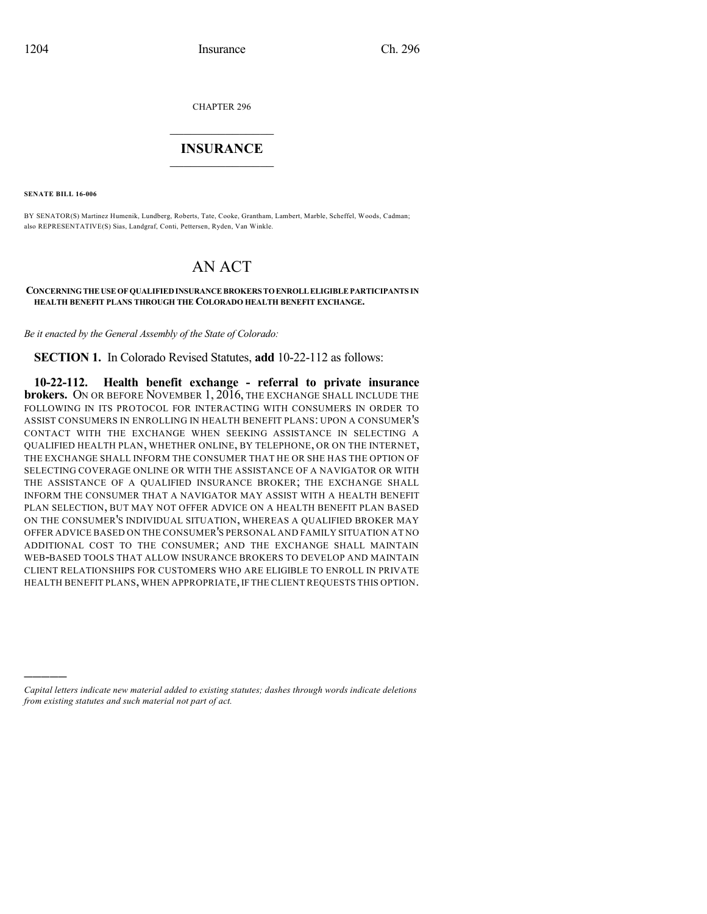CHAPTER 296

## $\overline{\phantom{a}}$  . The set of the set of the set of the set of the set of the set of the set of the set of the set of the set of the set of the set of the set of the set of the set of the set of the set of the set of the set o **INSURANCE**  $\frac{1}{2}$  ,  $\frac{1}{2}$  ,  $\frac{1}{2}$  ,  $\frac{1}{2}$  ,  $\frac{1}{2}$  ,  $\frac{1}{2}$  ,  $\frac{1}{2}$

**SENATE BILL 16-006**

)))))

BY SENATOR(S) Martinez Humenik, Lundberg, Roberts, Tate, Cooke, Grantham, Lambert, Marble, Scheffel, Woods, Cadman; also REPRESENTATIVE(S) Sias, Landgraf, Conti, Pettersen, Ryden, Van Winkle.

## AN ACT

## **CONCERNINGTHEUSEOFQUALIFIEDINSURANCEBROKERS TOENROLLELIGIBLEPARTICIPANTS IN HEALTH BENEFIT PLANS THROUGH THE COLORADO HEALTH BENEFIT EXCHANGE.**

*Be it enacted by the General Assembly of the State of Colorado:*

**SECTION 1.** In Colorado Revised Statutes, **add** 10-22-112 as follows:

**10-22-112. Health benefit exchange - referral to private insurance brokers.** ON OR BEFORE NOVEMBER 1, 2016, THE EXCHANGE SHALL INCLUDE THE FOLLOWING IN ITS PROTOCOL FOR INTERACTING WITH CONSUMERS IN ORDER TO ASSIST CONSUMERS IN ENROLLING IN HEALTH BENEFIT PLANS: UPON A CONSUMER'S CONTACT WITH THE EXCHANGE WHEN SEEKING ASSISTANCE IN SELECTING A QUALIFIED HEALTH PLAN, WHETHER ONLINE, BY TELEPHONE, OR ON THE INTERNET, THE EXCHANGE SHALL INFORM THE CONSUMER THAT HE OR SHE HAS THE OPTION OF SELECTING COVERAGE ONLINE OR WITH THE ASSISTANCE OF A NAVIGATOR OR WITH THE ASSISTANCE OF A QUALIFIED INSURANCE BROKER; THE EXCHANGE SHALL INFORM THE CONSUMER THAT A NAVIGATOR MAY ASSIST WITH A HEALTH BENEFIT PLAN SELECTION, BUT MAY NOT OFFER ADVICE ON A HEALTH BENEFIT PLAN BASED ON THE CONSUMER'S INDIVIDUAL SITUATION, WHEREAS A QUALIFIED BROKER MAY OFFER ADVICE BASED ON THE CONSUMER'S PERSONAL AND FAMILY SITUATION AT NO ADDITIONAL COST TO THE CONSUMER; AND THE EXCHANGE SHALL MAINTAIN WEB-BASED TOOLS THAT ALLOW INSURANCE BROKERS TO DEVELOP AND MAINTAIN CLIENT RELATIONSHIPS FOR CUSTOMERS WHO ARE ELIGIBLE TO ENROLL IN PRIVATE HEALTH BENEFIT PLANS, WHEN APPROPRIATE, IF THE CLIENT REQUESTS THIS OPTION.

*Capital letters indicate new material added to existing statutes; dashes through words indicate deletions from existing statutes and such material not part of act.*